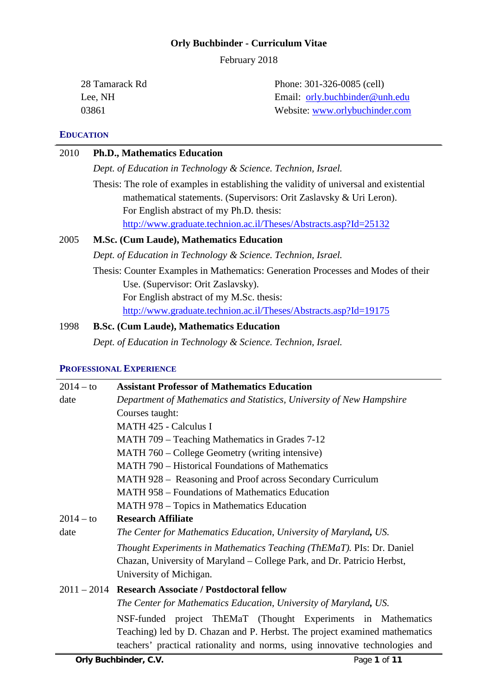#### **Orly Buchbinder - Curriculum Vitae**

February 2018

28 Tamarack Rd Lee, NH 03861 Phone: 301-326-0085 (cell) Email:[orly.buchbinder@unh.edu](mailto:orly.buchbinder@unh.edu) Website: [www.orlybuchinder.com](http://www.orlybuchinder.com/)

## **EDUCATION**

# 2010 **Ph.D., Mathematics Education**

*Dept. of Education in Technology & Science. Technion, Israel.*

Thesis: The role of examples in establishing the validity of universal and existential mathematical statements. (Supervisors: Orit Zaslavsky & Uri Leron). For English abstract of my Ph.D. thesis: <http://www.graduate.technion.ac.il/Theses/Abstracts.asp?Id=25132>

## 2005 **M.Sc. (Cum Laude), Mathematics Education**

*Dept. of Education in Technology & Science. Technion, Israel.*

Thesis: Counter Examples in Mathematics: Generation Processes and Modes of their Use. (Supervisor: Orit Zaslavsky).

For English abstract of my M.Sc. thesis:

<http://www.graduate.technion.ac.il/Theses/Abstracts.asp?Id=19175>

# 1998 **B.Sc. (Cum Laude), Mathematics Education**

*Dept. of Education in Technology & Science. Technion, Israel.*

### **PROFESSIONAL EXPERIENCE**

| $2014 - to$ | <b>Assistant Professor of Mathematics Education</b>                                                                                                        |
|-------------|------------------------------------------------------------------------------------------------------------------------------------------------------------|
| date        | Department of Mathematics and Statistics, University of New Hampshire                                                                                      |
|             | Courses taught:                                                                                                                                            |
|             | <b>MATH 425 - Calculus I</b>                                                                                                                               |
|             | MATH 709 – Teaching Mathematics in Grades 7-12                                                                                                             |
|             | MATH 760 – College Geometry (writing intensive)                                                                                                            |
|             | <b>MATH 790 – Historical Foundations of Mathematics</b>                                                                                                    |
|             | MATH 928 – Reasoning and Proof across Secondary Curriculum                                                                                                 |
|             | <b>MATH 958 – Foundations of Mathematics Education</b>                                                                                                     |
|             | MATH 978 – Topics in Mathematics Education                                                                                                                 |
| $2014 - to$ | <b>Research Affiliate</b>                                                                                                                                  |
| date        | The Center for Mathematics Education, University of Maryland, US.                                                                                          |
|             | Thought Experiments in Mathematics Teaching (ThEMaT). PIs: Dr. Daniel                                                                                      |
|             | Chazan, University of Maryland – College Park, and Dr. Patricio Herbst,                                                                                    |
|             | University of Michigan.                                                                                                                                    |
|             | 2011 - 2014 Research Associate / Postdoctoral fellow                                                                                                       |
|             | The Center for Mathematics Education, University of Maryland, US.                                                                                          |
|             | NSF-funded project ThEMaT (Thought Experiments in Mathematics                                                                                              |
|             | Teaching) led by D. Chazan and P. Herbst. The project examined mathematics<br>teachers' practical rationality and norms, using innovative technologies and |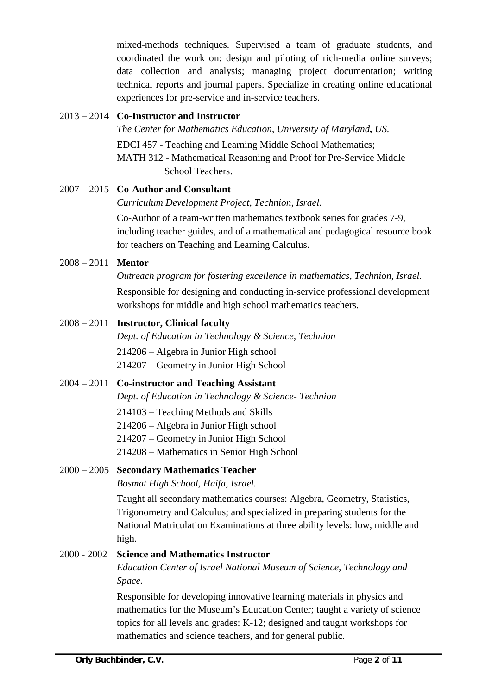mixed-methods techniques. Supervised a team of graduate students, and coordinated the work on: design and piloting of rich-media online surveys; data collection and analysis; managing project documentation; writing technical reports and journal papers. Specialize in creating online educational experiences for pre-service and in-service teachers.

## 2013 – 2014 **Co-Instructor and Instructor**

*The Center for Mathematics Education*, *University of Maryland, US.* EDCI 457 - Teaching and Learning Middle School Mathematics; MATH 312 - Mathematical Reasoning and Proof for Pre-Service Middle School Teachers.

## 2007 – 2015 **Co-Author and Consultant**

*Curriculum Development Project*, *Technion, Israel.*

Co-Author of a team-written mathematics textbook series for grades 7-9, including teacher guides, and of a mathematical and pedagogical resource book for teachers on Teaching and Learning Calculus.

# 2008 – 2011 **Mentor**

### *Outreach program for fostering excellence in mathematics*, *Technion, Israel.*

Responsible for designing and conducting in-service professional development workshops for middle and high school mathematics teachers.

# 2008 – 2011 **Instructor, Clinical faculty**

*Dept. of Education in Technology & Science, Technion*

214206 – Algebra in Junior High school

214207 – Geometry in Junior High School

# 2004 – 2011 **Co-instructor and Teaching Assistant**

*Dept. of Education in Technology & Science- Technion*

- 214103 Teaching Methods and Skills
- 214206 Algebra in Junior High school
- 214207 Geometry in Junior High School
- 214208 Mathematics in Senior High School

# 2000 – 2005 **Secondary Mathematics Teacher**

*Bosmat High School, Haifa, Israel.*

Taught all secondary mathematics courses: Algebra, Geometry, Statistics, Trigonometry and Calculus; and specialized in preparing students for the National Matriculation Examinations at three ability levels: low, middle and high.

# 2000 - 2002 **Science and Mathematics Instructor**

*Education Center of Israel National Museum of Science, Technology and Space.*

Responsible for developing innovative learning materials in physics and mathematics for the Museum's Education Center; taught a variety of science topics for all levels and grades: K-12; designed and taught workshops for mathematics and science teachers, and for general public.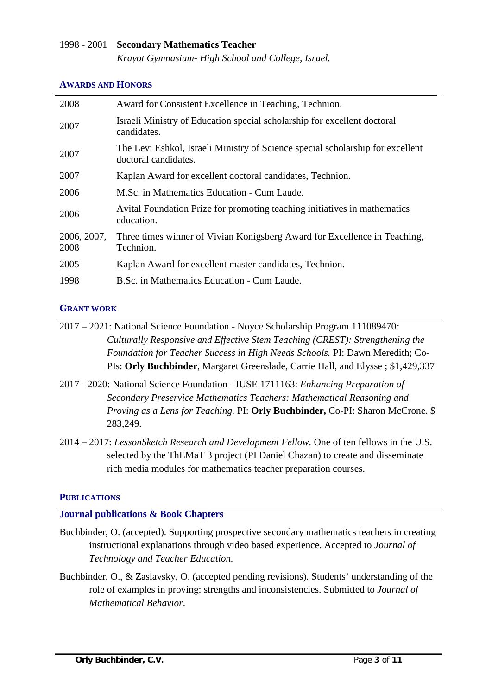## 1998 - 2001 **Secondary Mathematics Teacher**

*Krayot Gymnasium- High School and College, Israel.*

#### **AWARDS AND HONORS**

| 2008                | Award for Consistent Excellence in Teaching, Technion.                                                 |
|---------------------|--------------------------------------------------------------------------------------------------------|
| 2007                | Israeli Ministry of Education special scholarship for excellent doctoral<br>candidates.                |
| 2007                | The Levi Eshkol, Israeli Ministry of Science special scholarship for excellent<br>doctoral candidates. |
| 2007                | Kaplan Award for excellent doctoral candidates, Technion.                                              |
| 2006                | M.Sc. in Mathematics Education - Cum Laude.                                                            |
| 2006                | Avital Foundation Prize for promoting teaching initiatives in mathematics<br>education.                |
| 2006, 2007,<br>2008 | Three times winner of Vivian Konigsberg Award for Excellence in Teaching,<br>Technion.                 |
| 2005                | Kaplan Award for excellent master candidates, Technion.                                                |
| 1998                | B.Sc. in Mathematics Education - Cum Laude.                                                            |

#### **GRANT WORK**

2017 – 2021: National Science Foundation - Noyce Scholarship Program 111089470*: Culturally Responsive and Effective Stem Teaching (CREST): Strengthening the Foundation for Teacher Success in High Needs Schools.* PI: Dawn Meredith; Co-PIs: **Orly Buchbinder**, Margaret Greenslade, Carrie Hall, and Elysse ; \$1,429,337

- 2017 2020: National Science Foundation IUSE 1711163: *Enhancing Preparation of Secondary Preservice Mathematics Teachers: Mathematical Reasoning and Proving as a Lens for Teaching.* PI: **Orly Buchbinder,** Co-PI: Sharon McCrone. \$ 283,249.
- 2014 2017: *LessonSketch Research and Development Fellow.* One of ten fellows in the U.S. selected by the ThEMaT 3 project (PI Daniel Chazan) to create and disseminate rich media modules for mathematics teacher preparation courses.

#### **PUBLICATIONS**

### **Journal publications & Book Chapters**

- Buchbinder, O. (accepted). Supporting prospective secondary mathematics teachers in creating instructional explanations through video based experience. Accepted to *Journal of Technology and Teacher Education.*
- Buchbinder, O., & Zaslavsky, O. (accepted pending revisions). Students' understanding of the role of examples in proving: strengths and inconsistencies. Submitted to *Journal of Mathematical Behavior*.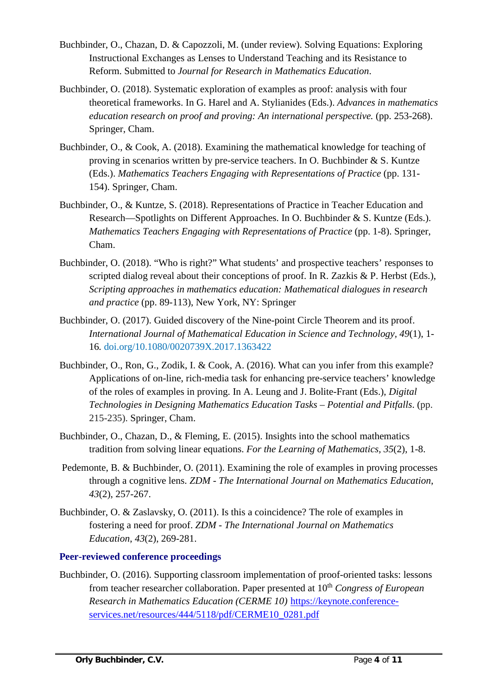- Buchbinder, O., Chazan, D. & Capozzoli, M. (under review). Solving Equations: Exploring Instructional Exchanges as Lenses to Understand Teaching and its Resistance to Reform. Submitted to *Journal for Research in Mathematics Education*.
- Buchbinder, O. (2018). Systematic exploration of examples as proof: analysis with four theoretical frameworks. In G. Harel and A. Stylianides (Eds.). *Advances in mathematics education research on proof and proving: An international perspective.* (pp. 253-268). Springer, Cham.
- Buchbinder, O., & Cook, A. (2018). Examining the mathematical knowledge for teaching of proving in scenarios written by pre-service teachers. In O. Buchbinder & S. Kuntze (Eds.). *Mathematics Teachers Engaging with Representations of Practice* (pp. 131- 154). Springer, Cham.
- Buchbinder, O., & Kuntze, S. (2018). Representations of Practice in Teacher Education and Research—Spotlights on Different Approaches. In O. Buchbinder & S. Kuntze (Eds.). *Mathematics Teachers Engaging with Representations of Practice* (pp. 1-8). Springer, Cham.
- Buchbinder, O. (2018). "Who is right?" What students' and prospective teachers' responses to scripted dialog reveal about their conceptions of proof. In R. Zazkis & P. Herbst (Eds.), *Scripting approaches in mathematics education: Mathematical dialogues in research and practice* (pp. 89-113), New York, NY: Springer
- Buchbinder, O. (2017). Guided discovery of the Nine-point Circle Theorem and its proof. *International Journal of Mathematical Education in Science and Technology, 49*(1), 1- 16*.* [doi.org/10.1080/0020739X.2017.1363422](http://dx.doi.org/10.1080/0020739X.2017.1363422)
- Buchbinder, O., Ron, G., Zodik, I. & Cook, A. (2016). What can you infer from this example? Applications of on-line, rich-media task for enhancing pre-service teachers' knowledge of the roles of examples in proving. In A. Leung and J. Bolite-Frant (Eds.), *Digital Technologies in Designing Mathematics Education Tasks – Potential and Pitfalls*. (pp. 215-235). Springer, Cham.
- Buchbinder, O., Chazan, D., & Fleming, E. (2015). Insights into the school mathematics tradition from solving linear equations. *For the Learning of Mathematics, 35*(2), 1-8.
- Pedemonte, B. & Buchbinder, O. (2011). Examining the role of examples in proving processes through a cognitive lens. *ZDM - The International Journal on Mathematics Education*, *43*(2), 257-267.
- Buchbinder, O. & Zaslavsky, O. (2011). Is this a coincidence? The role of examples in fostering a need for proof. *ZDM - The International Journal on Mathematics Education*, *43*(2), 269-281.

# **Peer-reviewed conference proceedings**

Buchbinder, O. (2016). Supporting classroom implementation of proof-oriented tasks: lessons from teacher researcher collaboration. Paper presented at 10<sup>th</sup> *Congress of European Research in Mathematics Education (CERME 10)* [https://keynote.conference](https://keynote.conference-services.net/resources/444/5118/pdf/CERME10_0281.pdf)[services.net/resources/444/5118/pdf/CERME10\\_0281.pdf](https://keynote.conference-services.net/resources/444/5118/pdf/CERME10_0281.pdf)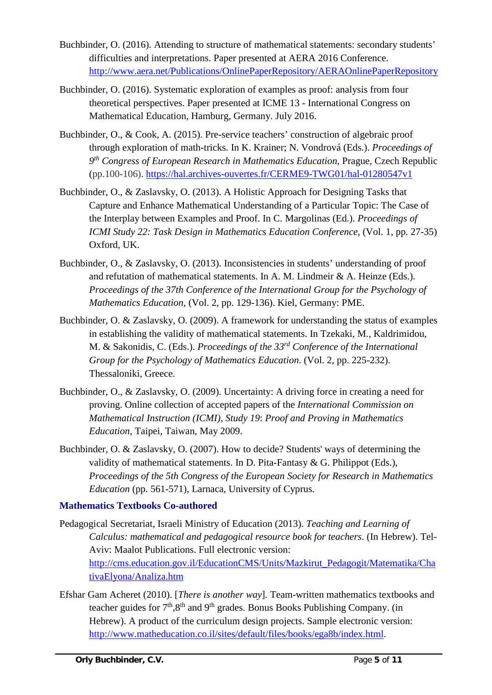- Buchbinder, O. (2016). Attending to structure of mathematical statements: secondary students' difficulties and interpretations. Paper presented at AERA 2016 Conference. <http://www.aera.net/Publications/OnlinePaperRepository/AERAOnlinePaperRepository>
- Buchbinder, O. (2016). Systematic exploration of examples as proof: analysis from four theoretical perspectives. Paper presented at ICME 13 - International Congress on Mathematical Education, Hamburg, Germany. July 2016.
- Buchbinder, O., & Cook, A. (2015). Pre-service teachers' construction of algebraic proof through exploration of math-tricks. In K. Krainer; N. Vondrová (Eds.). *Proceedings of 9th Congress of European Research in Mathematics Education*, Prague, Czech Republic (pp.100-106).<https://hal.archives-ouvertes.fr/CERME9-TWG01/hal-01280547v1>
- Buchbinder, O., & Zaslavsky, O. (2013). A Holistic Approach for Designing Tasks that Capture and Enhance Mathematical Understanding of a Particular Topic: The Case of the Interplay between Examples and Proof. In C. Margolinas (Ed.). *Proceedings of ICMI Study 22: Task Design in Mathematics Education Conference*, (Vol. 1, pp. 27-35) Oxford, UK.
- Buchbinder, O., & Zaslavsky, O. (2013). Inconsistencies in students' understanding of proof and refutation of mathematical statements. In A. M. Lindmeir & A. Heinze (Eds.). *Proceedings of the 37th Conference of the International Group for the Psychology of Mathematics Education*, (Vol. 2, pp. 129-136). Kiel, Germany: PME.
- Buchbinder, O. & Zaslavsky, O. (2009). A framework for understanding the status of examples in establishing the validity of mathematical statements. In Tzekaki, M., Kaldrimidou, M. & Sakonidis, C. (Eds.). *Proceedings of the 33rd Conference of the International Group for the Psychology of Mathematics Education*. (Vol. 2, pp. 225-232). Thessaloniki, Greece.
- Buchbinder, O., & Zaslavsky, O. (2009). Uncertainty: A driving force in creating a need for proving. Online collection of accepted papers of the *International Commission on Mathematical Instruction (ICMI), Study 19*: *Proof and Proving in Mathematics Education*, Taipei, Taiwan, May 2009.
- Buchbinder, O. & Zaslavsky, O. (2007). How to decide? Students' ways of determining the validity of mathematical statements. In D. Pita-Fantasy & G. Philippot (Eds.), *Proceedings of the 5th Congress of the European Society for Research in Mathematics Education* (pp. 561-571), Larnaca, University of Cyprus.

# **Mathematics Textbooks Co-authored**

- Pedagogical Secretariat, Israeli Ministry of Education (2013). *Teaching and Learning of Calculus: mathematical and pedagogical resource book for teachers*. (In Hebrew). Tel-Aviv: Maalot Publications. Full electronic version: [http://cms.education.gov.il/EducationCMS/Units/Mazkirut\\_Pedagogit/Matematika/Cha](http://cms.education.gov.il/EducationCMS/Units/Mazkirut_Pedagogit/Matematika/ChativaElyona/Analiza.htm) [tivaElyona/Analiza.htm](http://cms.education.gov.il/EducationCMS/Units/Mazkirut_Pedagogit/Matematika/ChativaElyona/Analiza.htm)
- Efshar Gam Acheret (2010). [*There is another way*]*.* Team-written mathematics textbooks and teacher guides for  $7<sup>th</sup>$ ,  $8<sup>th</sup>$  and  $9<sup>th</sup>$  grades. Bonus Books Publishing Company. (in Hebrew). A product of the curriculum design projects. Sample electronic version: [http://www.matheducation.co.il/sites/default/files/books/ega8b/index.html.](http://www.matheducation.co.il/sites/default/files/books/ega8b/index.html)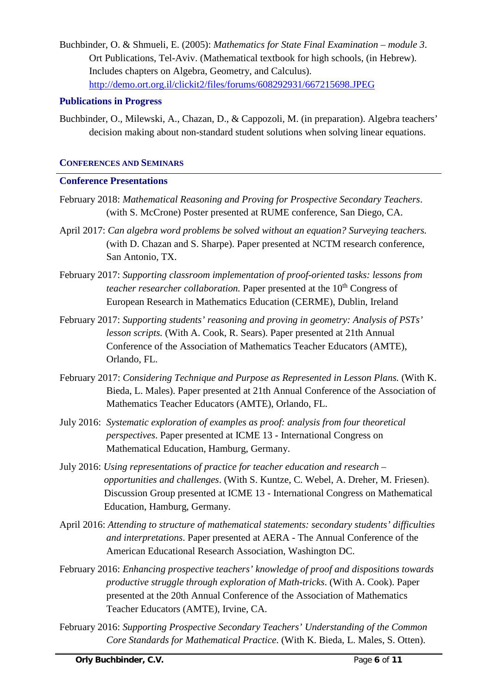Buchbinder, O. & Shmueli, E. (2005): *Mathematics for State Final Examination* – *module 3*. Ort Publications, Tel-Aviv. (Mathematical textbook for high schools, (in Hebrew). Includes chapters on Algebra, Geometry, and Calculus). <http://demo.ort.org.il/clickit2/files/forums/608292931/667215698.JPEG>

## **Publications in Progress**

Buchbinder, O., Milewski, A., Chazan, D., & Cappozoli, M. (in preparation). Algebra teachers' decision making about non-standard student solutions when solving linear equations.

## **CONFERENCES AND SEMINARS**

## **Conference Presentations**

- February 2018: *Mathematical Reasoning and Proving for Prospective Secondary Teachers*. (with S. McCrone) Poster presented at RUME conference, San Diego, CA.
- April 2017: *Can algebra word problems be solved without an equation? Surveying teachers.* (with D. Chazan and S. Sharpe). Paper presented at NCTM research conference, San Antonio, TX.
- February 2017: *Supporting classroom implementation of proof-oriented tasks: lessons from teacher researcher collaboration.* Paper presented at the 10<sup>th</sup> Congress of European Research in Mathematics Education (CERME), Dublin, Ireland
- February 2017: *Supporting students' reasoning and proving in geometry: Analysis of PSTs' lesson scripts.* (With A. Cook, R. Sears). Paper presented at 21th Annual Conference of the Association of Mathematics Teacher Educators (AMTE), Orlando, FL.
- February 2017: *Considering Technique and Purpose as Represented in Lesson Plans.* (With K. Bieda, L. Males). Paper presented at 21th Annual Conference of the Association of Mathematics Teacher Educators (AMTE), Orlando, FL.
- July 2016: *Systematic exploration of examples as proof: analysis from four theoretical perspectives*. Paper presented at ICME 13 - International Congress on Mathematical Education, Hamburg, Germany.
- July 2016: *Using representations of practice for teacher education and research – opportunities and challenges*. (With S. Kuntze, C. Webel, A. Dreher, M. Friesen). Discussion Group presented at ICME 13 - International Congress on Mathematical Education, Hamburg, Germany.
- April 2016: *Attending to structure of mathematical statements: secondary students' difficulties and interpretations*. Paper presented at AERA - The Annual Conference of the American Educational Research Association, Washington DC.
- February 2016: *Enhancing prospective teachers' knowledge of proof and dispositions towards productive struggle through exploration of Math-tricks*. (With A. Cook). Paper presented at the 20th Annual Conference of the Association of Mathematics Teacher Educators (AMTE), Irvine, CA.
- February 2016: *Supporting Prospective Secondary Teachers' Understanding of the Common Core Standards for Mathematical Practice*. (With K. Bieda, L. Males, S. Otten).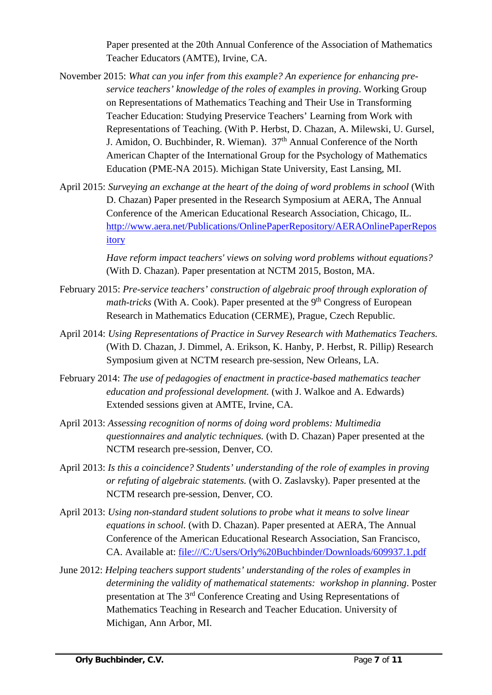Paper presented at the 20th Annual Conference of the Association of Mathematics Teacher Educators (AMTE), Irvine, CA.

- November 2015: *What can you infer from this example? An experience for enhancing preservice teachers' knowledge of the roles of examples in proving*. Working Group on Representations of Mathematics Teaching and Their Use in Transforming Teacher Education: Studying Preservice Teachers' Learning from Work with Representations of Teaching. (With P. Herbst, D. Chazan, A. Milewski, U. Gursel, J. Amidon, O. Buchbinder, R. Wieman).  $37<sup>th</sup>$  Annual Conference of the North American Chapter of the International Group for the Psychology of Mathematics Education (PME-NA 2015). Michigan State University, East Lansing, MI.
- April 2015: *Surveying an exchange at the heart of the doing of word problems in school* (With D. Chazan) Paper presented in the Research Symposium at AERA, The Annual Conference of the American Educational Research Association, Chicago, IL. [http://www.aera.net/Publications/OnlinePaperRepository/AERAOnlinePaperRepos](http://www.aera.net/Publications/OnlinePaperRepository/AERAOnlinePaperRepository) [itory](http://www.aera.net/Publications/OnlinePaperRepository/AERAOnlinePaperRepository)

*Have reform impact teachers' views on solving word problems without equations?*  (With D. Chazan). Paper presentation at NCTM 2015, Boston, MA.

- February 2015: *Pre-service teachers' construction of algebraic proof through exploration of math-tricks* (With A. Cook). Paper presented at the 9<sup>th</sup> Congress of European Research in Mathematics Education (CERME), Prague, Czech Republic.
- April 2014: *Using Representations of Practice in Survey Research with Mathematics Teachers.* (With D. Chazan, J. Dimmel, A. Erikson, K. Hanby, P. Herbst, R. Pillip) Research Symposium given at NCTM research pre-session, New Orleans, LA.
- February 2014: *The use of pedagogies of enactment in practice-based mathematics teacher education and professional development.* (with J. Walkoe and A. Edwards) Extended sessions given at AMTE, Irvine, CA.
- April 2013: *Assessing recognition of norms of doing word problems: Multimedia questionnaires and analytic techniques.* (with D. Chazan) Paper presented at the NCTM research pre-session, Denver, CO.
- April 2013: *Is this a coincidence? Students' understanding of the role of examples in proving or refuting of algebraic statements.* (with O. Zaslavsky). Paper presented at the NCTM research pre-session, Denver, CO.
- April 2013: *Using non-standard student solutions to probe what it means to solve linear equations in school.* (with D. Chazan). Paper presented at AERA, The Annual Conference of the American Educational Research Association, San Francisco, CA. Available at: file:///C:/Users/Orly%20Buchbinder/Downloads/609937.1.pdf
- June 2012: *Helping teachers support students' understanding of the roles of examples in determining the validity of mathematical statements: workshop in planning*. Poster presentation at The 3rd Conference Creating and Using Representations of Mathematics Teaching in Research and Teacher Education. University of Michigan, Ann Arbor, MI.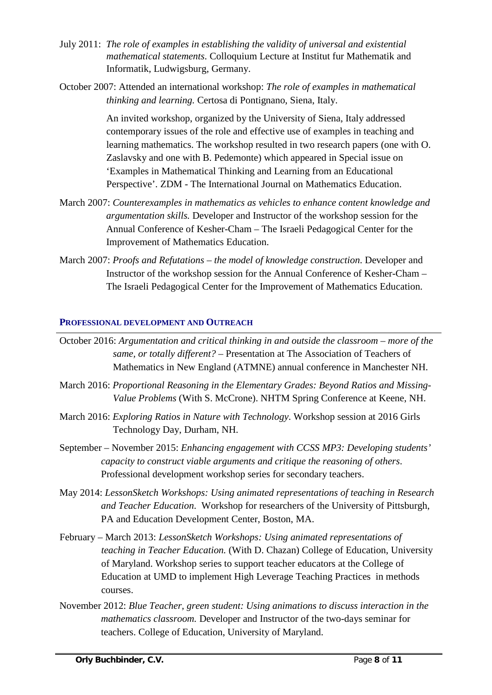- July 2011: *The role of examples in establishing the validity of universal and existential mathematical statements*. Colloquium Lecture at Institut fur Mathematik and Informatik, Ludwigsburg, Germany.
- October 2007: Attended an international workshop: *The role of examples in mathematical thinking and learning.* Certosa di Pontignano, Siena, Italy.

An invited workshop, organized by the University of Siena, Italy addressed contemporary issues of the role and effective use of examples in teaching and learning mathematics. The workshop resulted in two research papers (one with O. Zaslavsky and one with B. Pedemonte) which appeared in Special issue on 'Examples in Mathematical Thinking and Learning from an Educational Perspective'. ZDM - The International Journal on Mathematics Education.

- March 2007: *Counterexamples in mathematics as vehicles to enhance content knowledge and argumentation skills.* Developer and Instructor of the workshop session for the Annual Conference of Kesher-Cham – The Israeli Pedagogical Center for the Improvement of Mathematics Education.
- March 2007: *Proofs and Refutations – the model of knowledge construction*. Developer and Instructor of the workshop session for the Annual Conference of Kesher-Cham – The Israeli Pedagogical Center for the Improvement of Mathematics Education.

#### **PROFESSIONAL DEVELOPMENT AND OUTREACH**

- October 2016: *Argumentation and critical thinking in and outside the classroom – more of the same, or totally different?* – Presentation at The Association of Teachers of Mathematics in New England (ATMNE) annual conference in Manchester NH.
- March 2016: *Proportional Reasoning in the Elementary Grades: Beyond Ratios and Missing-Value Problems* (With S. McCrone). NHTM Spring Conference at Keene, NH.
- March 2016: *Exploring Ratios in Nature with Technology*. Workshop session at 2016 Girls Technology Day, Durham, NH.
- September November 2015: *Enhancing engagement with CCSS MP3: Developing students' capacity to construct viable arguments and critique the reasoning of others*. Professional development workshop series for secondary teachers.
- May 2014: *LessonSketch Workshops: Using animated representations of teaching in Research and Teacher Education*. Workshop for researchers of the University of Pittsburgh, PA and Education Development Center, Boston, MA.
- February March 2013: *LessonSketch Workshops: Using animated representations of teaching in Teacher Education.* (With D. Chazan) College of Education, University of Maryland. Workshop series to support teacher educators at the College of Education at UMD to implement High Leverage Teaching Practices in methods courses.
- November 2012: *Blue Teacher, green student: Using animations to discuss interaction in the mathematics classroom.* Developer and Instructor of the two-days seminar for teachers. College of Education, University of Maryland.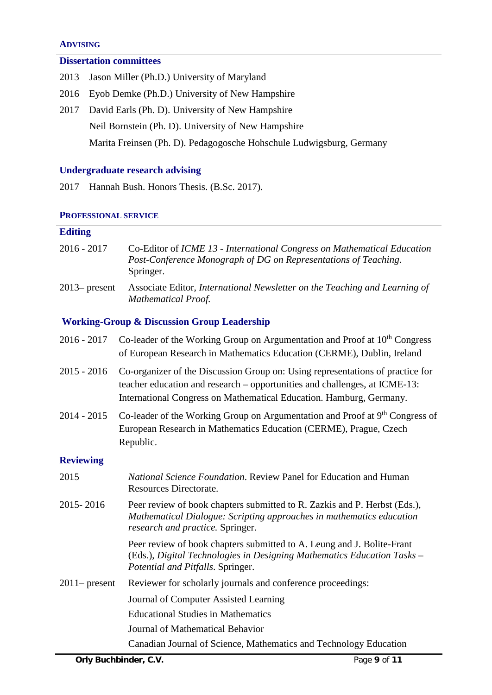#### **ADVISING**

### **Dissertation committees**

- 2013 Jason Miller (Ph.D.) University of Maryland
- 2016 Eyob Demke (Ph.D.) University of New Hampshire
- 2017 David Earls (Ph. D). University of New Hampshire Neil Bornstein (Ph. D). University of New Hampshire Marita Freinsen (Ph. D). Pedagogosche Hohschule Ludwigsburg, Germany

## **Undergraduate research advising**

2017 Hannah Bush. Honors Thesis. (B.Sc. 2017).

#### **PROFESSIONAL SERVICE**

# **Editing**

| 2016 - 2017      | Co-Editor of ICME 13 - International Congress on Mathematical Education<br>Post-Conference Monograph of DG on Representations of Teaching.<br>Springer. |
|------------------|---------------------------------------------------------------------------------------------------------------------------------------------------------|
| $2013$ - present | Associate Editor, International Newsletter on the Teaching and Learning of<br><b>Mathematical Proof.</b>                                                |

### **Working-Group & Discussion Group Leadership**

| 2016 - 2017      | Co-leader of the Working Group on Argumentation and Proof at $10th$ Congress<br>of European Research in Mathematics Education (CERME), Dublin, Ireland                                                                              |
|------------------|-------------------------------------------------------------------------------------------------------------------------------------------------------------------------------------------------------------------------------------|
| 2015 - 2016      | Co-organizer of the Discussion Group on: Using representations of practice for<br>teacher education and research – opportunities and challenges, at ICME-13:<br>International Congress on Mathematical Education. Hamburg, Germany. |
| 2014 - 2015      | Co-leader of the Working Group on Argumentation and Proof at 9 <sup>th</sup> Congress of<br>European Research in Mathematics Education (CERME), Prague, Czech<br>Republic.                                                          |
| <b>Reviewing</b> |                                                                                                                                                                                                                                     |
| 2015             | <i>National Science Foundation.</i> Review Panel for Education and Human<br>Resources Directorate.                                                                                                                                  |
| 2015-2016        | Peer review of book chapters submitted to R. Zazkis and P. Herbst (Eds.),<br>Mathematical Dialogue: Scripting approaches in mathematics education<br>research and practice. Springer.                                               |
|                  | Peer review of book chapters submitted to A. Leung and J. Bolite-Frant<br>(Eds.), Digital Technologies in Designing Mathematics Education Tasks -<br>Potential and Pitfalls. Springer.                                              |
| $2011$ – present | Reviewer for scholarly journals and conference proceedings:                                                                                                                                                                         |
|                  | Journal of Computer Assisted Learning                                                                                                                                                                                               |
|                  | <b>Educational Studies in Mathematics</b>                                                                                                                                                                                           |
|                  | Journal of Mathematical Behavior                                                                                                                                                                                                    |
|                  | Canadian Journal of Science, Mathematics and Technology Education                                                                                                                                                                   |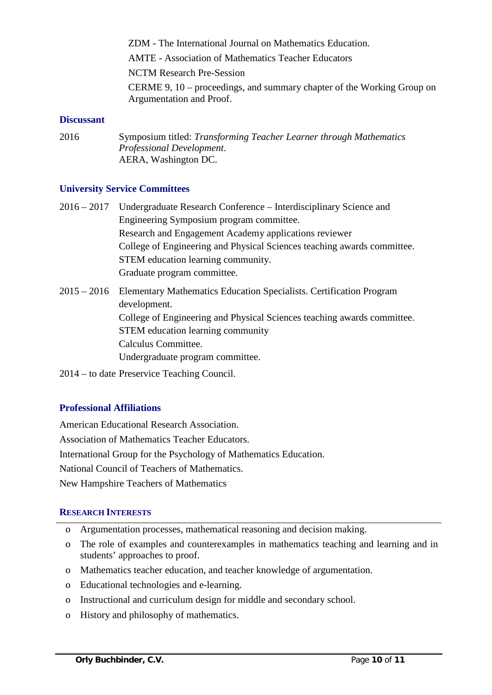ZDM - The International Journal on Mathematics Education.

AMTE - Association of Mathematics Teacher Educators

NCTM Research Pre-Session

CERME 9, 10 – proceedings, and summary chapter of the Working Group on Argumentation and Proof.

#### **Discussant**

2016 Symposium titled: *Transforming Teacher Learner through Mathematics Professional Development*. AERA, Washington DC.

### **University Service Committees**

- 2016 2017 Undergraduate Research Conference Interdisciplinary Science and Engineering Symposium program committee. Research and Engagement Academy applications reviewer College of Engineering and Physical Sciences teaching awards committee. STEM education learning community. Graduate program committee.
- 2015 2016 Elementary Mathematics Education Specialists. Certification Program development. College of Engineering and Physical Sciences teaching awards committee. STEM education learning community Calculus Committee. Undergraduate program committee.
- 2014 to date Preservice Teaching Council.

### **Professional Affiliations**

American Educational Research Association. Association of Mathematics Teacher Educators. International Group for the Psychology of Mathematics Education. National Council of Teachers of Mathematics. New Hampshire Teachers of Mathematics

### **RESEARCH INTERESTS**

- o Argumentation processes, mathematical reasoning and decision making.
- o The role of examples and counterexamples in mathematics teaching and learning and in students' approaches to proof.
- o Mathematics teacher education, and teacher knowledge of argumentation.
- o Educational technologies and e-learning.
- o Instructional and curriculum design for middle and secondary school.
- o History and philosophy of mathematics.